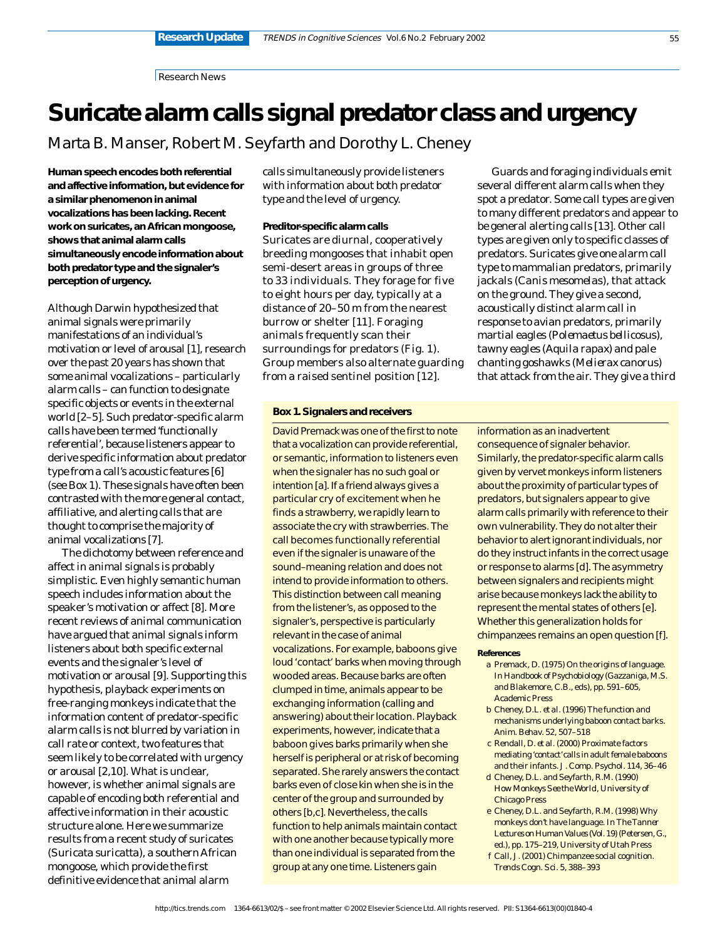Research News

# **Suricate alarm calls signal predator class and urgency**

Marta B. Manser, Robert M. Seyfarth and Dorothy L. Cheney

**Human speech encodes both referential and affective information, but evidence for a similar phenomenon in animal vocalizations has been lacking. Recent work on suricates, an African mongoose, shows that animal alarm calls simultaneously encode information about both predator type and the signaler's perception of urgency.**

Although Darwin hypothesized that animal signals were primarily manifestations of an individual's motivation or level of arousal [1], research over the past 20 years has shown that some animal vocalizations – particularly alarm calls – can function to designate specific objects or events in the external world [2–5]. Such predator-specific alarm calls have been termed 'functionally referential', because listeners appear to derive specific information about predator type from a call's acoustic features [6] (see Box 1). These signals have often been contrasted with the more general contact, affiliative, and alerting calls that are thought to comprise the majority of animal vocalizations [7].

The dichotomy between reference and affect in animal signals is probably simplistic. Even highly semantic human speech includes information about the speaker's motivation or affect [8]. More recent reviews of animal communication have argued that animal signals inform listeners about both specific external events and the signaler's level of motivation or arousal [9]. Supporting this hypothesis, playback experiments on free-ranging monkeys indicate that the information content of predator-specific alarm calls is not blurred by variation in call rate or context, two features that seem likely to be correlated with urgency or arousal [2,10]. What is unclear, however, is whether animal signals are capable of encoding both referential and affective information in their acoustic structure alone. Here we summarize results from a recent study of suricates (*Suricata suricatta*), a southern African mongoose, which provide the first definitive evidence that animal alarm

calls simultaneously provide listeners with information about both predator type and the level of urgency.

#### **Preditor-specific alarm calls**

Suricates are diurnal, cooperatively breeding mongooses that inhabit open semi-desert areas in groups of three to 33 individuals. They forage for five to eight hours per day, typically at a distance of 20–50 m from the nearest burrow or shelter [11]. Foraging animals frequently scan their surroundings for predators (Fig. 1). Group members also alternate guarding from a raised sentinel position [12].

#### **Box 1. Signalers and receivers**

David Premack was one of the first to note that a vocalization can provide referential, or semantic, information to listeners even when the signaler has no such goal or intention [a]. If a friend always gives a particular cry of excitement when he finds a strawberry, we rapidly learn to associate the cry with strawberries. The call becomes functionally referential even if the signaler is unaware of the sound–meaning relation and does not intend to provide information to others. This distinction between call meaning from the listener's, as opposed to the signaler's, perspective is particularly relevant in the case of animal vocalizations. For example, baboons give loud 'contact' barks when moving through wooded areas. Because barks are often clumped in time, animals appear to be exchanging information (calling and answering) about their location. Playback experiments, however, indicate that a baboon gives barks primarily when she herself is peripheral or at risk of becoming separated. She rarely answers the contact barks even of close kin when she is in the center of the group and surrounded by others [b,c]. Nevertheless, the calls function to help animals maintain contact with one another because typically more than one individual is separated from the group at any one time. Listeners gain

Guards and foraging individuals emit several different alarm calls when they spot a predator. Some call types are given to many different predators and appear to be general alerting calls [13]. Other call types are given only to specific classes of predators. Suricates give one alarm call type to mammalian predators, primarily jackals (*Canis mesomelas*), that attack on the ground. They give a second, acoustically distinct alarm call in response to avian predators, primarily martial eagles (*Polemaetus bellicosus*), tawny eagles (*Aquila rapax*) and pale chanting goshawks (*Melierax canorus*) that attack from the air. They give a third

information as an inadvertent consequence of signaler behavior. Similarly, the predator-specific alarm calls given by vervet monkeys inform listeners about the proximity of particular types of predators, but signalers appear to give alarm calls primarily with reference to their own vulnerability. They do not alter their behavior to alert ignorant individuals, nor do they instruct infants in the correct usage or response to alarms [d]. The asymmetry between signalers and recipients might arise because monkeys lack the ability to represent the mental states of others [e]. Whether this generalization holds for chimpanzees remains an open question [f].

#### **References**

- a Premack, D. (1975) On the origins of language. In *Handbook of Psychobiology* (Gazzaniga, M.S. and Blakemore, C.B., eds), pp. 591–605, Academic Press
- b Cheney, D.L. *et al.* (1996) The function and mechanisms underlying baboon contact barks. *Anim. Behav.* 52, 507–518
- c Rendall, D. *et al.* (2000) Proximate factors mediating 'contact'calls in adult female baboons and their infants. *J. Comp. Psychol.* 114, 36–46
- d Cheney, D.L. and Seyfarth, R.M. (1990) *How Monkeys See the World*, University of Chicago Press
- e Cheney, D.L. and Seyfarth, R.M. (1998) Why monkeys don't have language. In *The Tanner Lectures on Human Values* (Vol. 19)(Petersen, G., ed.), pp. 175–219, University of Utah Press
- f Call, J. (2001) Chimpanzee social cognition. *Trends Cogn. Sci.* 5, 388–393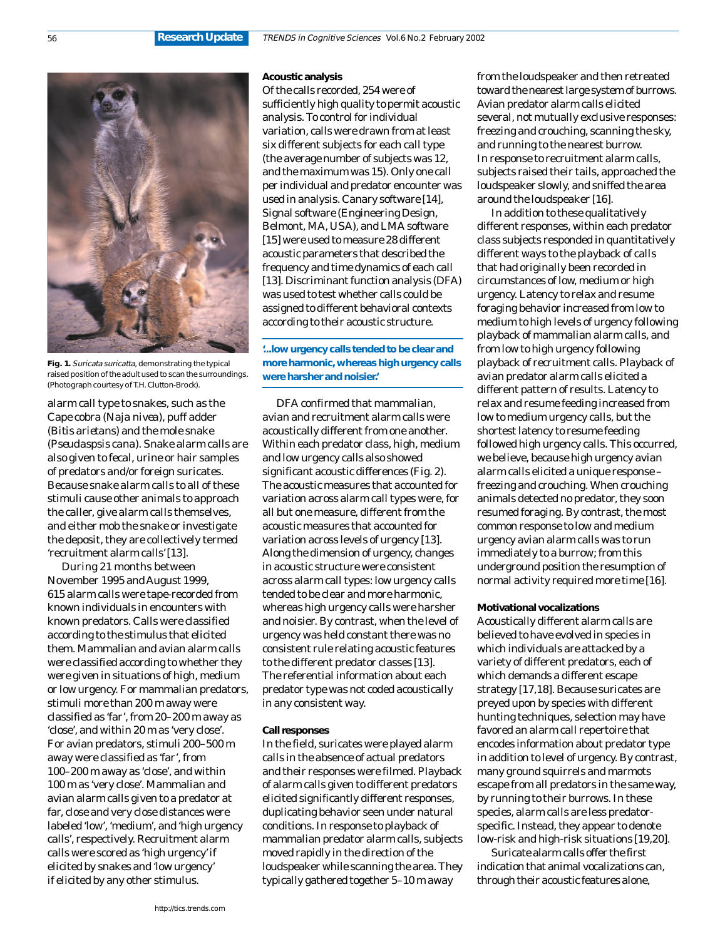

**Fig. 1.** Suricata suricatta, demonstrating the typical raised position of the adult used to scan the surroundings. (Photograph courtesy of T.H. Clutton-Brock).

alarm call type to snakes, such as the Cape cobra (*Naja nivea*), puff adder (*Bitis arietans*) and the mole snake (*Pseudaspsis cana*). Snake alarm calls are also given to fecal, urine or hair samples of predators and/or foreign suricates. Because snake alarm calls to all of these stimuli cause other animals to approach the caller, give alarm calls themselves, and either mob the snake or investigate the deposit, they are collectively termed 'recruitment alarm calls'[13].

During 21 months between November 1995 and August 1999, 615 alarm calls were tape-recorded from known individuals in encounters with known predators. Calls were classified according to the stimulus that elicited them. Mammalian and avian alarm calls were classified according to whether they were given in situations of high, medium or low urgency. For mammalian predators, stimuli more than 200 m away were classified as 'far', from 20–200 m away as 'close', and within 20 m as 'very close'. For avian predators, stimuli 200–500 m away were classified as 'far', from 100–200 m away as 'close', and within 100 m as 'very close'. Mammalian and avian alarm calls given to a predator at far, close and very close distances were labeled 'low', 'medium', and 'high urgency calls', respectively. Recruitment alarm calls were scored as 'high urgency'if elicited by snakes and 'low urgency' if elicited by any other stimulus.

#### **Acoustic analysis**

Of the calls recorded, 254 were of sufficiently high quality to permit acoustic analysis. To control for individual variation, calls were drawn from at least six different subjects for each call type (the average number of subjects was 12, and the maximum was 15). Only one call per individual and predator encounter was used in analysis. Canary software [14], Signal software (Engineering Design, Belmont, MA, USA), and LMA software [15] were used to measure 28 different acoustic parameters that described the frequency and time dynamics of each call [13]. Discriminant function analysis (DFA) was used to test whether calls could be assigned to different behavioral contexts according to their acoustic structure.

### **'...low urgency calls tended to be clear and more harmonic, whereas high urgency calls were harsher and noisier.'**

DFA confirmed that mammalian, avian and recruitment alarm calls were acoustically different from one another. Within each predator class, high, medium and low urgency calls also showed significant acoustic differences (Fig. 2). The acoustic measures that accounted for variation across alarm call types were, for all but one measure, different from the acoustic measures that accounted for variation across levels of urgency [13]. Along the dimension of urgency, changes in acoustic structure were consistent across alarm call types: low urgency calls tended to be clear and more harmonic, whereas high urgency calls were harsher and noisier. By contrast, when the level of urgency was held constant there was no consistent rule relating acoustic features to the different predator classes [13]. The referential information about each predator type was not coded acoustically in any consistent way.

#### **Call responses**

In the field, suricates were played alarm calls in the absence of actual predators and their responses were filmed. Playback of alarm calls given to different predators elicited significantly different responses, duplicating behavior seen under natural conditions. In response to playback of mammalian predator alarm calls, subjects moved rapidly in the direction of the loudspeaker while scanning the area. They typically gathered together 5–10 m away

from the loudspeaker and then retreated toward the nearest large system of burrows. Avian predator alarm calls elicited several, not mutually exclusive responses: freezing and crouching, scanning the sky, and running to the nearest burrow. In response to recruitment alarm calls, subjects raised their tails, approached the loudspeaker slowly, and sniffed the area around the loudspeaker [16].

In addition to these qualitatively different responses, within each predator class subjects responded in quantitatively different ways to the playback of calls that had originally been recorded in circumstances of low, medium or high urgency. Latency to relax and resume foraging behavior increased from low to medium to high levels of urgency following playback of mammalian alarm calls, and from low to high urgency following playback of recruitment calls. Playback of avian predator alarm calls elicited a different pattern of results. Latency to relax and resume feeding increased from low to medium urgency calls, but the shortest latency to resume feeding followed high urgency calls. This occurred, we believe, because high urgency avian alarm calls elicited a unique response – freezing and crouching. When crouching animals detected no predator, they soon resumed foraging. By contrast, the most common response to low and medium urgency avian alarm calls was to run immediately to a burrow; from this underground position the resumption of normal activity required more time [16].

#### **Motivational vocalizations**

Acoustically different alarm calls are believed to have evolved in species in which individuals are attacked by a variety of different predators, each of which demands a different escape strategy [17,18]. Because suricates are preyed upon by species with different hunting techniques, selection may have favored an alarm call repertoire that encodes information about predator type in addition to level of urgency. By contrast, many ground squirrels and marmots escape from all predators in the same way, by running to their burrows. In these species, alarm calls are less predatorspecific. Instead, they appear to denote low-risk and high-risk situations [19,20].

Suricate alarm calls offer the first indication that animal vocalizations can, through their acoustic features alone,